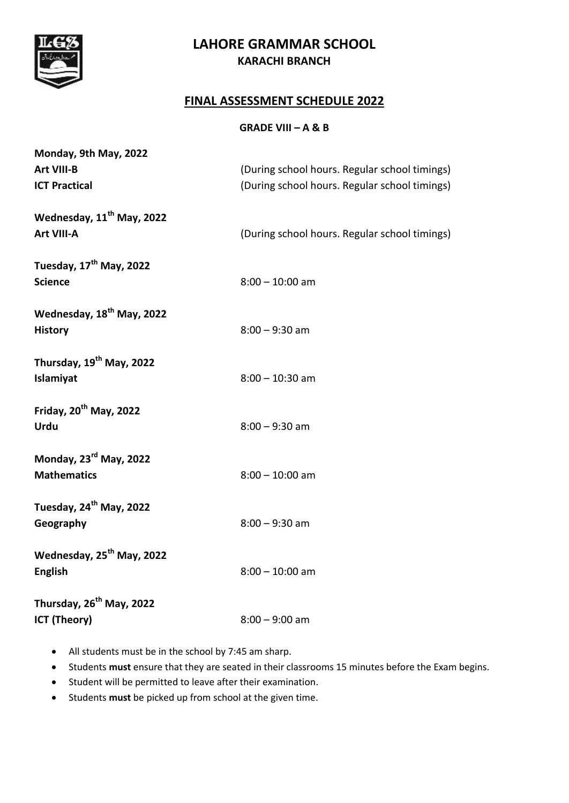

# **LAHORE GRAMMAR SCHOOL KARACHI BRANCH**

#### **FINAL ASSESSMENT SCHEDULE 2022**

#### **GRADE VIII – A & B**

| Monday, 9th May, 2022                                       |                                               |
|-------------------------------------------------------------|-----------------------------------------------|
| Art VIII-B                                                  | (During school hours. Regular school timings) |
| <b>ICT Practical</b>                                        | (During school hours. Regular school timings) |
| Wednesday, 11 <sup>th</sup> May, 2022<br>Art VIII-A         | (During school hours. Regular school timings) |
| Tuesday, 17 <sup>th</sup> May, 2022<br><b>Science</b>       | $8:00 - 10:00$ am                             |
| Wednesday, 18 <sup>th</sup> May, 2022<br><b>History</b>     | $8:00 - 9:30$ am                              |
| Thursday, 19 <sup>th</sup> May, 2022<br>Islamiyat           | $8:00 - 10:30$ am                             |
| Friday, 20 <sup>th</sup> May, 2022<br><b>Urdu</b>           | $8:00 - 9:30$ am                              |
| Monday, 23 <sup>rd</sup> May, 2022<br><b>Mathematics</b>    | $8:00 - 10:00$ am                             |
| Tuesday, 24 <sup>th</sup> May, 2022<br>Geography            | $8:00 - 9:30$ am                              |
| Wednesday, 25 <sup>th</sup> May, 2022<br><b>English</b>     | $8:00 - 10:00$ am                             |
| Thursday, 26 <sup>th</sup> May, 2022<br><b>ICT (Theory)</b> | $8:00 - 9:00$ am                              |

- All students must be in the school by 7:45 am sharp.
- Students **must** ensure that they are seated in their classrooms 15 minutes before the Exam begins.
- Student will be permitted to leave after their examination.
- Students **must** be picked up from school at the given time.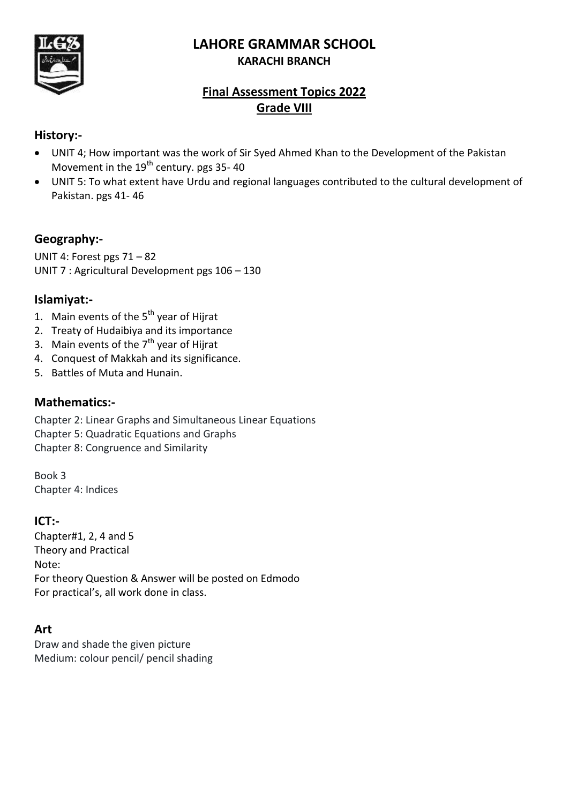# **LAHORE GRAMMAR SCHOOL KARACHI BRANCH**



# **Final Assessment Topics 2022 Grade VIII**

# **History:-**

- UNIT 4; How important was the work of Sir Syed Ahmed Khan to the Development of the Pakistan Movement in the  $19<sup>th</sup>$  century. pgs 35-40
- UNIT 5: To what extent have Urdu and regional languages contributed to the cultural development of Pakistan. pgs 41- 46

# **Geography:-**

UNIT 4: Forest pgs 71 – 82 UNIT 7 : Agricultural Development pgs 106 – 130

### **Islamiyat:-**

- 1. Main events of the  $5<sup>th</sup>$  year of Hijrat
- 2. Treaty of Hudaibiya and its importance
- 3. Main events of the  $7<sup>th</sup>$  year of Hijrat
- 4. Conquest of Makkah and its significance.
- 5. Battles of Muta and Hunain.

#### **Mathematics:-**

Chapter 2: Linear Graphs and Simultaneous Linear Equations Chapter 5: Quadratic Equations and Graphs Chapter 8: Congruence and Similarity

Book 3 Chapter 4: Indices

#### **ICT:-**

Chapter#1, 2, 4 and 5 Theory and Practical Note: For theory Question & Answer will be posted on Edmodo For practical's, all work done in class.

# **Art**

Draw and shade the given picture Medium: colour pencil/ pencil shading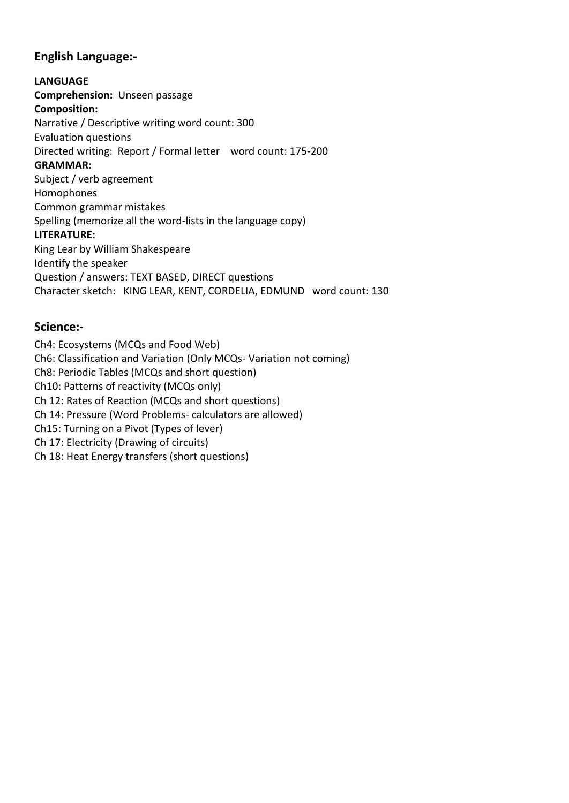# **English Language:-**

**LANGUAGE Comprehension:** Unseen passage **Composition:**  Narrative / Descriptive writing word count: 300 Evaluation questions Directed writing: Report / Formal letter word count: 175-200 **GRAMMAR:** Subject / verb agreement Homophones Common grammar mistakes Spelling (memorize all the word-lists in the language copy) **LITERATURE:** King Lear by William Shakespeare Identify the speaker Question / answers: TEXT BASED, DIRECT questions Character sketch: KING LEAR, KENT, CORDELIA, EDMUND word count: 130

# **Science:-**

Ch4: Ecosystems (MCQs and Food Web) Ch6: Classification and Variation (Only MCQs- Variation not coming) Ch8: Periodic Tables (MCQs and short question) Ch10: Patterns of reactivity (MCQs only) Ch 12: Rates of Reaction (MCQs and short questions) Ch 14: Pressure (Word Problems- calculators are allowed) Ch15: Turning on a Pivot (Types of lever) Ch 17: Electricity (Drawing of circuits) Ch 18: Heat Energy transfers (short questions)